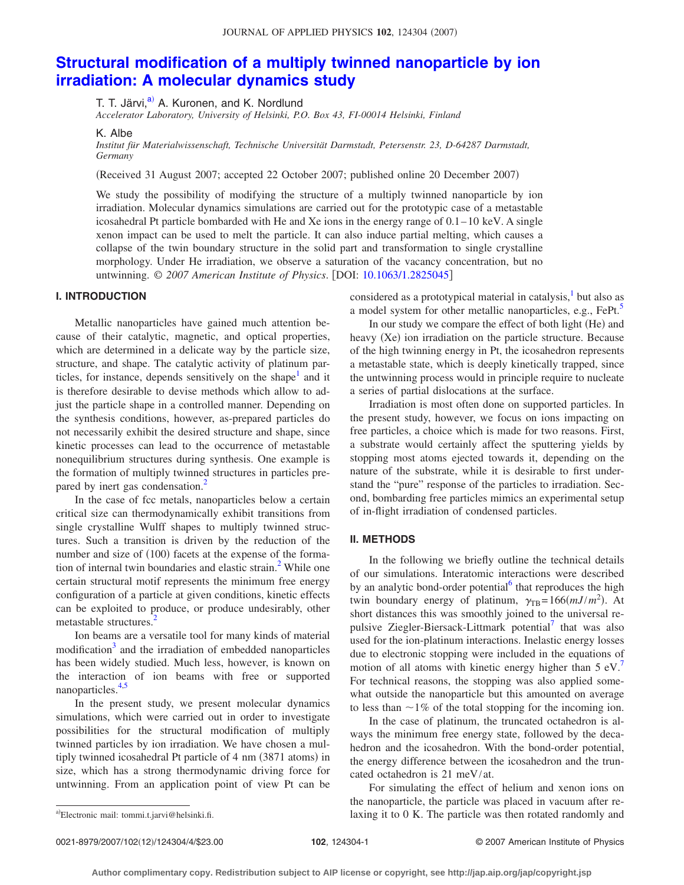# **[Structural modification of a multiply twinned nanoparticle by ion](http://dx.doi.org/10.1063/1.2825045) [irradiation: A molecular dynamics study](http://dx.doi.org/10.1063/1.2825045)**

T. T. Järvi,<sup>a)</sup> A. Kuronen, and K. Nordlund

*Accelerator Laboratory, University of Helsinki, P.O. Box 43, FI-00014 Helsinki, Finland*

K. Albe

*Institut für Materialwissenschaft, Technische Universität Darmstadt, Petersenstr. 23, D-64287 Darmstadt, Germany*

Received 31 August 2007; accepted 22 October 2007; published online 20 December 2007-

We study the possibility of modifying the structure of a multiply twinned nanoparticle by ion irradiation. Molecular dynamics simulations are carried out for the prototypic case of a metastable icosahedral Pt particle bombarded with He and Xe ions in the energy range of 0.1–10 keV. A single xenon impact can be used to melt the particle. It can also induce partial melting, which causes a collapse of the twin boundary structure in the solid part and transformation to single crystalline morphology. Under He irradiation, we observe a saturation of the vacancy concentration, but no untwinning. © 2007 American Institute of Physics. [DOI: [10.1063/1.2825045](http://dx.doi.org/10.1063/1.2825045)]

## **I. INTRODUCTION**

Metallic nanoparticles have gained much attention because of their catalytic, magnetic, and optical properties, which are determined in a delicate way by the particle size, structure, and shape. The catalytic activity of platinum particles, for instance, depends sensitively on the shape<sup>1</sup> and it is therefore desirable to devise methods which allow to adjust the particle shape in a controlled manner. Depending on the synthesis conditions, however, as-prepared particles do not necessarily exhibit the desired structure and shape, since kinetic processes can lead to the occurrence of metastable nonequilibrium structures during synthesis. One example is the formation of multiply twinned structures in particles prepared by inert gas condensation.<sup>2</sup>

In the case of fcc metals, nanoparticles below a certain critical size can thermodynamically exhibit transitions from single crystalline Wulff shapes to multiply twinned structures. Such a transition is driven by the reduction of the number and size of (100) facets at the expense of the formation of internal twin boundaries and elastic strain.<sup>2</sup> While one certain structural motif represents the minimum free energy configuration of a particle at given conditions, kinetic effects can be exploited to produce, or produce undesirably, other metastable structures.<sup>2</sup>

Ion beams are a versatile tool for many kinds of material modification<sup>3</sup> and the irradiation of embedded nanoparticles has been widely studied. Much less, however, is known on the interaction of ion beams with free or supported nanoparticles. $4,5$  $4,5$ 

In the present study, we present molecular dynamics simulations, which were carried out in order to investigate possibilities for the structural modification of multiply twinned particles by ion irradiation. We have chosen a multiply twinned icosahedral Pt particle of 4 nm (3871 atoms) in size, which has a strong thermodynamic driving force for untwinning. From an application point of view Pt can be considered as a prototypical material in catalysis, $\frac{1}{x}$  but also as a model system for other metallic nanoparticles, e.g., FePt.<sup>5</sup>

In our study we compare the effect of both light (He) and heavy (Xe) ion irradiation on the particle structure. Because of the high twinning energy in Pt, the icosahedron represents a metastable state, which is deeply kinetically trapped, since the untwinning process would in principle require to nucleate a series of partial dislocations at the surface.

Irradiation is most often done on supported particles. In the present study, however, we focus on ions impacting on free particles, a choice which is made for two reasons. First, a substrate would certainly affect the sputtering yields by stopping most atoms ejected towards it, depending on the nature of the substrate, while it is desirable to first understand the "pure" response of the particles to irradiation. Second, bombarding free particles mimics an experimental setup of in-flight irradiation of condensed particles.

## **II. METHODS**

In the following we briefly outline the technical details of our simulations. Interatomic interactions were described by an analytic bond-order potential<sup>6</sup> that reproduces the high twin boundary energy of platinum,  $\gamma_{\text{TB}} = 166(mJ/m^2)$ . At short distances this was smoothly joined to the universal repulsive Ziegler-Biersack-Littmark potential<sup>7</sup> that was also used for the ion-platinum interactions. Inelastic energy losses due to electronic stopping were included in the equations of motion of all atoms with kinetic energy higher than  $5 \text{ eV}$ . For technical reasons, the stopping was also applied somewhat outside the nanoparticle but this amounted on average to less than  $\sim$ 1% of the total stopping for the incoming ion.

In the case of platinum, the truncated octahedron is always the minimum free energy state, followed by the decahedron and the icosahedron. With the bond-order potential, the energy difference between the icosahedron and the truncated octahedron is 21 meV/at.

For simulating the effect of helium and xenon ions on the nanoparticle, the particle was placed in vacuum after relaxing it to  $0$  K. The particle was then rotated randomly and

<span id="page-0-0"></span>Electronic mail: tommi.t.jarvi@helsinki.fi.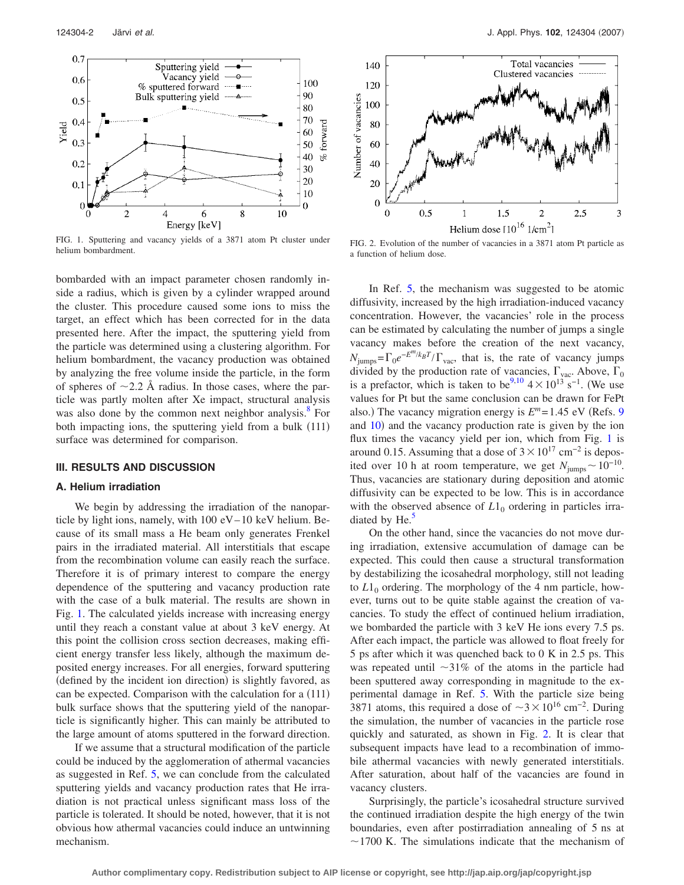<span id="page-1-0"></span>

FIG. 1. Sputtering and vacancy yields of a 3871 atom Pt cluster under

bombarded with an impact parameter chosen randomly inside a radius, which is given by a cylinder wrapped around the cluster. This procedure caused some ions to miss the target, an effect which has been corrected for in the data presented here. After the impact, the sputtering yield from the particle was determined using a clustering algorithm. For helium bombardment, the vacancy production was obtained by analyzing the free volume inside the particle, in the form of spheres of  $\sim$ 2.2 Å radius. In those cases, where the particle was partly molten after Xe impact, structural analysis was also done by the common next neighbor analysis. $\delta$  For both impacting ions, the sputtering yield from a bulk (111) surface was determined for comparison.

## **III. RESULTS AND DISCUSSION**

## **A. Helium irradiation**

We begin by addressing the irradiation of the nanoparticle by light ions, namely, with 100 eV–10 keV helium. Because of its small mass a He beam only generates Frenkel pairs in the irradiated material. All interstitials that escape from the recombination volume can easily reach the surface. Therefore it is of primary interest to compare the energy dependence of the sputtering and vacancy production rate with the case of a bulk material. The results are shown in Fig. [1.](#page-1-0) The calculated yields increase with increasing energy until they reach a constant value at about 3 keV energy. At this point the collision cross section decreases, making efficient energy transfer less likely, although the maximum deposited energy increases. For all energies, forward sputtering (defined by the incident ion direction) is slightly favored, as can be expected. Comparison with the calculation for a (111) bulk surface shows that the sputtering yield of the nanoparticle is significantly higher. This can mainly be attributed to the large amount of atoms sputtered in the forward direction.

If we assume that a structural modification of the particle could be induced by the agglomeration of athermal vacancies as suggested in Ref. [5,](#page-3-4) we can conclude from the calculated sputtering yields and vacancy production rates that He irradiation is not practical unless significant mass loss of the particle is tolerated. It should be noted, however, that it is not obvious how athermal vacancies could induce an untwinning mechanism.

<span id="page-1-1"></span>

FIG. 1. Sputtering and vacancy yields of a 3871 atom Pt cluster under<br>helium bombardment.<br>a function of helium dose a function of helium dose.

In Ref. [5,](#page-3-4) the mechanism was suggested to be atomic diffusivity, increased by the high irradiation-induced vacancy concentration. However, the vacancies' role in the process can be estimated by calculating the number of jumps a single vacancy makes before the creation of the next vacancy,  $N_{\text{jumps}} = \Gamma_0 e^{-E^m/k_B T} / \Gamma_{\text{vac}}$ , that is, the rate of vacancy jumps divided by the production rate of vacancies,  $\Gamma_{\text{vac}}$ . Above,  $\Gamma_0$  is a prefactor, which is taken to be<sup>9[,10](#page-3-9)</sup> 4 × 10<sup>13</sup> s<sup>-1</sup>. (We use values for Pt but the same conclusion can be drawn for FePt also.) The vacancy migration energy is  $E^m = 1.45$  eV (Refs. [9](#page-3-8)) and [10](#page-3-9)) and the vacancy production rate is given by the ion flux times the vacancy yield per ion, which from Fig. [1](#page-1-0) is around 0.15. Assuming that a dose of  $3 \times 10^{17}$  cm<sup>-2</sup> is deposited over 10 h at room temperature, we get  $N_{\text{jumps}} \sim 10^{-10}$ . Thus, vacancies are stationary during deposition and atomic diffusivity can be expected to be low. This is in accordance with the observed absence of  $L1_0$  ordering in particles irradiated by  $He<sup>5</sup>$ 

On the other hand, since the vacancies do not move during irradiation, extensive accumulation of damage can be expected. This could then cause a structural transformation by destabilizing the icosahedral morphology, still not leading to  $L1_0$  ordering. The morphology of the 4 nm particle, however, turns out to be quite stable against the creation of vacancies. To study the effect of continued helium irradiation, we bombarded the particle with 3 keV He ions every 7.5 ps. After each impact, the particle was allowed to float freely for 5 ps after which it was quenched back to 0 K in 2.5 ps. This was repeated until  $\sim$ 31% of the atoms in the particle had been sputtered away corresponding in magnitude to the experimental damage in Ref. [5.](#page-3-4) With the particle size being 3871 atoms, this required a dose of  $\sim$ 3×10<sup>16</sup> cm<sup>-2</sup>. During the simulation, the number of vacancies in the particle rose quickly and saturated, as shown in Fig. [2.](#page-1-1) It is clear that subsequent impacts have lead to a recombination of immobile athermal vacancies with newly generated interstitials. After saturation, about half of the vacancies are found in vacancy clusters.

Surprisingly, the particle's icosahedral structure survived the continued irradiation despite the high energy of the twin boundaries, even after postirradiation annealing of 5 ns at  $\sim$ 1700 K. The simulations indicate that the mechanism of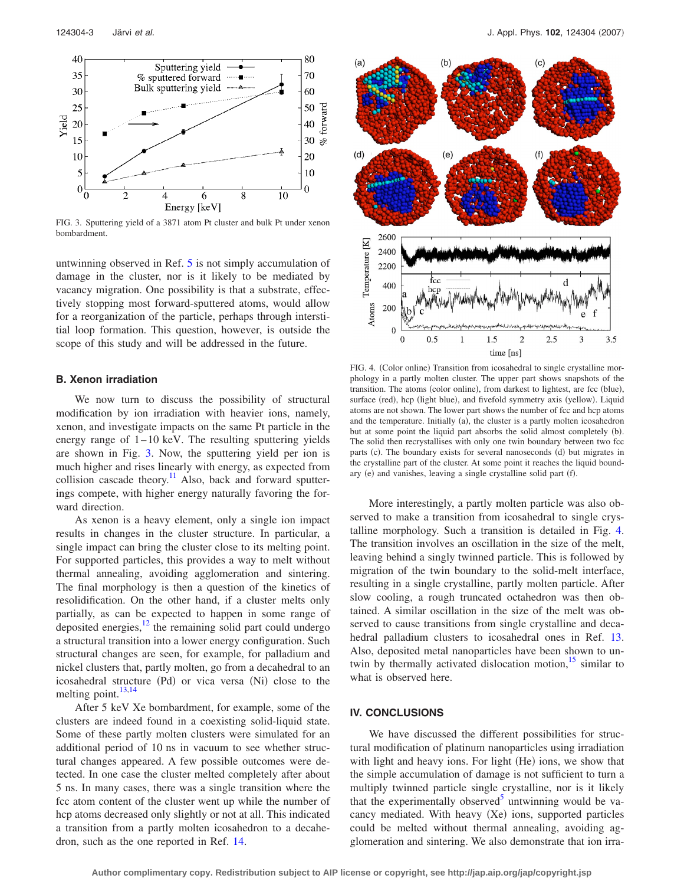<span id="page-2-0"></span>

FIG. 3. Sputtering yield of a 3871 atom Pt cluster and bulk Pt under xenon bombardment.

untwinning observed in Ref. [5](#page-3-4) is not simply accumulation of damage in the cluster, nor is it likely to be mediated by vacancy migration. One possibility is that a substrate, effectively stopping most forward-sputtered atoms, would allow for a reorganization of the particle, perhaps through interstitial loop formation. This question, however, is outside the scope of this study and will be addressed in the future.

#### **B. Xenon irradiation**

We now turn to discuss the possibility of structural modification by ion irradiation with heavier ions, namely, xenon, and investigate impacts on the same Pt particle in the energy range of  $1-10$  keV. The resulting sputtering yields are shown in Fig. [3.](#page-2-0) Now, the sputtering yield per ion is much higher and rises linearly with energy, as expected from collision cascade theory.<sup>11</sup> Also, back and forward sputterings compete, with higher energy naturally favoring the forward direction.

As xenon is a heavy element, only a single ion impact results in changes in the cluster structure. In particular, a single impact can bring the cluster close to its melting point. For supported particles, this provides a way to melt without thermal annealing, avoiding agglomeration and sintering. The final morphology is then a question of the kinetics of resolidification. On the other hand, if a cluster melts only partially, as can be expected to happen in some range of deposited energies, $12$  the remaining solid part could undergo a structural transition into a lower energy configuration. Such structural changes are seen, for example, for palladium and nickel clusters that, partly molten, go from a decahedral to an icosahedral structure (Pd) or vica versa (Ni) close to the melting point.<sup>13,[14](#page-3-0)</sup>

After 5 keV Xe bombardment, for example, some of the clusters are indeed found in a coexisting solid-liquid state. Some of these partly molten clusters were simulated for an additional period of 10 ns in vacuum to see whether structural changes appeared. A few possible outcomes were detected. In one case the cluster melted completely after about 5 ns. In many cases, there was a single transition where the fcc atom content of the cluster went up while the number of hcp atoms decreased only slightly or not at all. This indicated a transition from a partly molten icosahedron to a decahedron, such as the one reported in Ref. [14.](#page-3-0)

<span id="page-2-1"></span>

FIG. 4. (Color online) Transition from icosahedral to single crystalline morphology in a partly molten cluster. The upper part shows snapshots of the transition. The atoms (color online), from darkest to lightest, are fcc (blue), surface (red), hcp (light blue), and fivefold symmetry axis (yellow). Liquid atoms are not shown. The lower part shows the number of fcc and hcp atoms and the temperature. Initially (a), the cluster is a partly molten icosahedron but at some point the liquid part absorbs the solid almost completely (b). The solid then recrystallises with only one twin boundary between two fcc parts (c). The boundary exists for several nanoseconds (d) but migrates in the crystalline part of the cluster. At some point it reaches the liquid boundary (e) and vanishes, leaving a single crystalline solid part (f).

More interestingly, a partly molten particle was also observed to make a transition from icosahedral to single crystalline morphology. Such a transition is detailed in Fig. [4.](#page-2-1) The transition involves an oscillation in the size of the melt, leaving behind a singly twinned particle. This is followed by migration of the twin boundary to the solid-melt interface, resulting in a single crystalline, partly molten particle. After slow cooling, a rough truncated octahedron was then obtained. A similar oscillation in the size of the melt was observed to cause transitions from single crystalline and decahedral palladium clusters to icosahedral ones in Ref. [13.](#page-3-12) Also, deposited metal nanoparticles have been shown to untwin by thermally activated dislocation motion,<sup>15</sup> similar to what is observed here.

#### **IV. CONCLUSIONS**

We have discussed the different possibilities for structural modification of platinum nanoparticles using irradiation with light and heavy ions. For light (He) ions, we show that the simple accumulation of damage is not sufficient to turn a multiply twinned particle single crystalline, nor is it likely that the experimentally observed<sup>5</sup> untwinning would be vacancy mediated. With heavy (Xe) ions, supported particles could be melted without thermal annealing, avoiding agglomeration and sintering. We also demonstrate that ion irra-